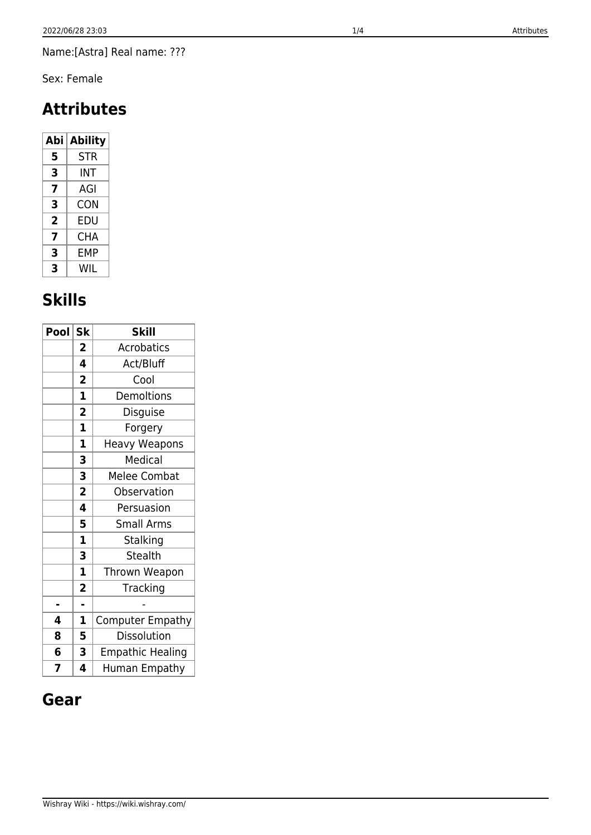Name:[Astra] Real name: ???

Sex: Female

# **Attributes**

| Abi | <b>Ability</b> |
|-----|----------------|
| 5   | <b>STR</b>     |
| 3   | INT            |
| 7   | AGI            |
| 3   | CON            |
| 2   | EDU            |
| 7   | CHA            |
| 3   | FMP            |
| 3   | WIL            |

# **Skills**

| Pool | <b>Sk</b>               | <b>Skill</b>            |
|------|-------------------------|-------------------------|
|      | 2                       | <b>Acrobatics</b>       |
|      | 4                       | Act/Bluff               |
|      | $\overline{\mathbf{c}}$ | Cool                    |
|      | $\mathbf 1$             | Demoltions              |
|      | $\overline{\mathbf{2}}$ | Disguise                |
|      | $\mathbf{1}$            | Forgery                 |
|      | $\mathbf{1}$            | <b>Heavy Weapons</b>    |
|      | 3                       | Medical                 |
|      | 3                       | Melee Combat            |
|      | $\overline{\mathbf{2}}$ | Observation             |
|      | 4                       | Persuasion              |
|      | 5                       | <b>Small Arms</b>       |
|      | $\overline{1}$          | Stalking                |
|      | 3                       | <b>Stealth</b>          |
|      | $\mathbf 1$             | Thrown Weapon           |
|      | $\overline{\mathbf{2}}$ | Tracking                |
|      | L.                      |                         |
| 4    | 1                       | <b>Computer Empathy</b> |
| 8    | 5                       | Dissolution             |
| 6    | 3                       | <b>Empathic Healing</b> |
| 7    | 4                       | Human Empathy           |

### **Gear**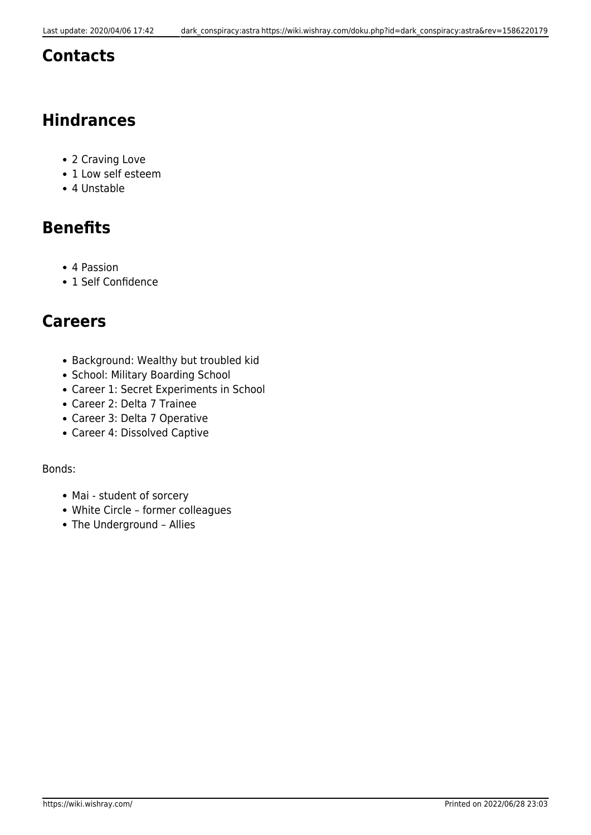#### **Contacts**

## **Hindrances**

- 2 Craving Love
- 1 Low self esteem
- 4 Unstable

## **Benefits**

- 4 Passion
- 1 Self Confidence

#### **Careers**

- Background: Wealthy but troubled kid
- School: Military Boarding School
- Career 1: Secret Experiments in School
- Career 2: Delta 7 Trainee
- Career 3: Delta 7 Operative
- Career 4: Dissolved Captive

#### Bonds:

- Mai student of sorcery
- White Circle former colleagues
- The Underground Allies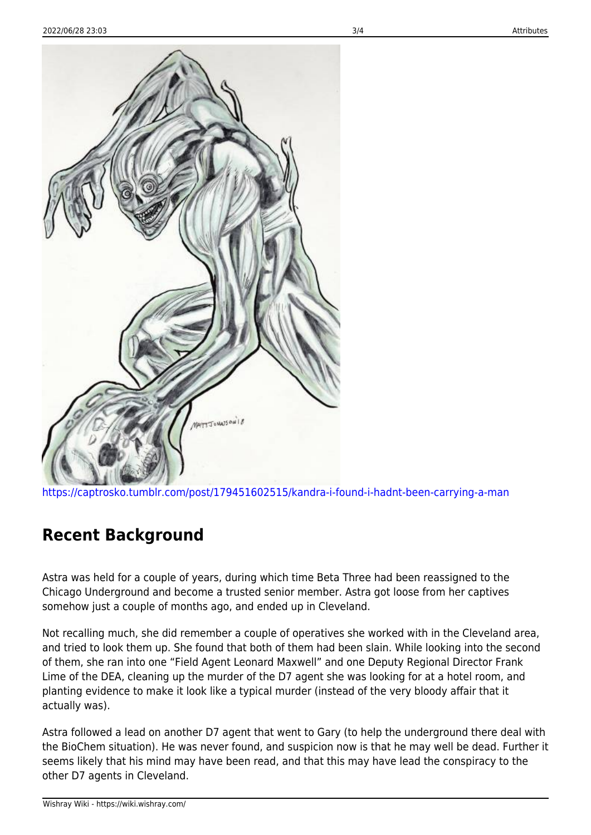

<https://captrosko.tumblr.com/post/179451602515/kandra-i-found-i-hadnt-been-carrying-a-man>

### **Recent Background**

Astra was held for a couple of years, during which time Beta Three had been reassigned to the Chicago Underground and become a trusted senior member. Astra got loose from her captives somehow just a couple of months ago, and ended up in Cleveland.

Not recalling much, she did remember a couple of operatives she worked with in the Cleveland area, and tried to look them up. She found that both of them had been slain. While looking into the second of them, she ran into one "Field Agent Leonard Maxwell" and one Deputy Regional Director Frank Lime of the DEA, cleaning up the murder of the D7 agent she was looking for at a hotel room, and planting evidence to make it look like a typical murder (instead of the very bloody affair that it actually was).

Astra followed a lead on another D7 agent that went to Gary (to help the underground there deal with the BioChem situation). He was never found, and suspicion now is that he may well be dead. Further it seems likely that his mind may have been read, and that this may have lead the conspiracy to the other D7 agents in Cleveland.